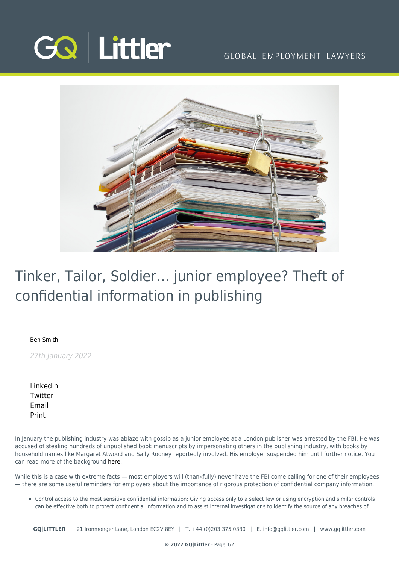

## GLOBAL EMPLOYMENT LAWYERS



## Tinker, Tailor, Soldier… junior employee? Theft of confidential information in publishing

[Ben Smith](https://www.gqlittler.com/about-us/the-team/ben-smith)

27th January 2022

[LinkedIn](https://www.linkedin.com/shareArticle?mini=true&url=https%3A%2F%2Fwww.gqlittler.com%2Fresources%2Fnews-and-views%2Ftinker-tailor-soldier-junior-employee-theft-of-confidential-information-in-publishing.htm%3Funlock%3Dtrue&title=Tinker%2C+Tailor%2C+Soldier%E2%80%A6+junior+employee%3F+Theft+of+confidential+information+in+publishing&summary=In+January+the+publishing+industry+was+ablaze+with+gossip+as+a+junior+employee+at+a+London+publisher+was+arrested+by+the+FBI.&source=GQ+%7C+Littler) **[Twitter](https://twitter.com/share?text=Tinker%2C+Tailor%2C+Soldier%E2%80%A6+junior+employee%3F+Theft+of+confidential+information+in+publishing&url=https%3A%2F%2Fwww.gqlittler.com%2Fresources%2Fnews-and-views%2Ftinker-tailor-soldier-junior-employee-theft-of-confidential-information-in-publishing.htm&hashtags=)** [Email](mailto:?subject=Tinker, Tailor, Soldier… junior employee? Theft of confidential information in publishing&body=I) [Print](https://www.bg-pdf.co.uk/_GQ/page.php?M=6148523063484d364c793933643363755a33467361585230624756794c6d4e76625339795a584e7664584a6a5a584d76626d563363793168626d5174646d6c6c64334d7664476c75613256794c585268615778766369317a6232786b615756794c577031626d6c766369316c6258427362336c6c5a5331306147566d644331765a69316a6232356d6157526c626e5270595777746157356d62334a745958527062323474615734746348566962476c7a61476c755a79356f6447306a51434e55615735725a584973494652686157787663697767553239735a476c6c63754b417069427164573570623349675a573177624739355a57552f4946526f5a575a304947396d49474e76626d5a705a47567564476c6862434270626d5a76636d316864476c76626942706269427764574a7361584e6f6157356e4930416a64476c75613256794c585268615778766369317a6232786b615756794c577031626d6c766369316c6258427362336c6c5a5331306147566d644331765a69316a6232356d6157526c626e5270595777746157356d62334a745958527062323474615734746348566962476c7a61476c755a773d3d)

In January the publishing industry was ablaze with gossip as a junior employee at a London publisher was arrested by the FBI. He was accused of stealing hundreds of unpublished book manuscripts by impersonating others in the publishing industry, with books by household names like Margaret Atwood and Sally Rooney reportedly involved. His employer suspended him until further notice. You can read more of the background [here.](https://www.thebookseller.com/news/ss-employee-charged-fbi-allegedly-stealing-book-manuscripts-1298175)

While this is a case with extreme facts — most employers will (thankfully) never have the FBI come calling for one of their employees — there are some useful reminders for employers about the importance of rigorous protection of confidential company information.

Control access to the most sensitive confidential information: Giving access only to a select few or using encryption and similar controls can be effective both to protect confidential information and to assist internal investigations to identify the source of any breaches of

**GQ|LITTLER** | 21 Ironmonger Lane, London EC2V 8EY | T. [+44 \(0\)203 375 0330](https://www.bg-pdf.co.uk/_GQ/tel:+442033750330) | E. [info@gqlittler.com](mailto:info@gqlittler.com) | [www.gqlittler.com](https://www.gqlittler.com)